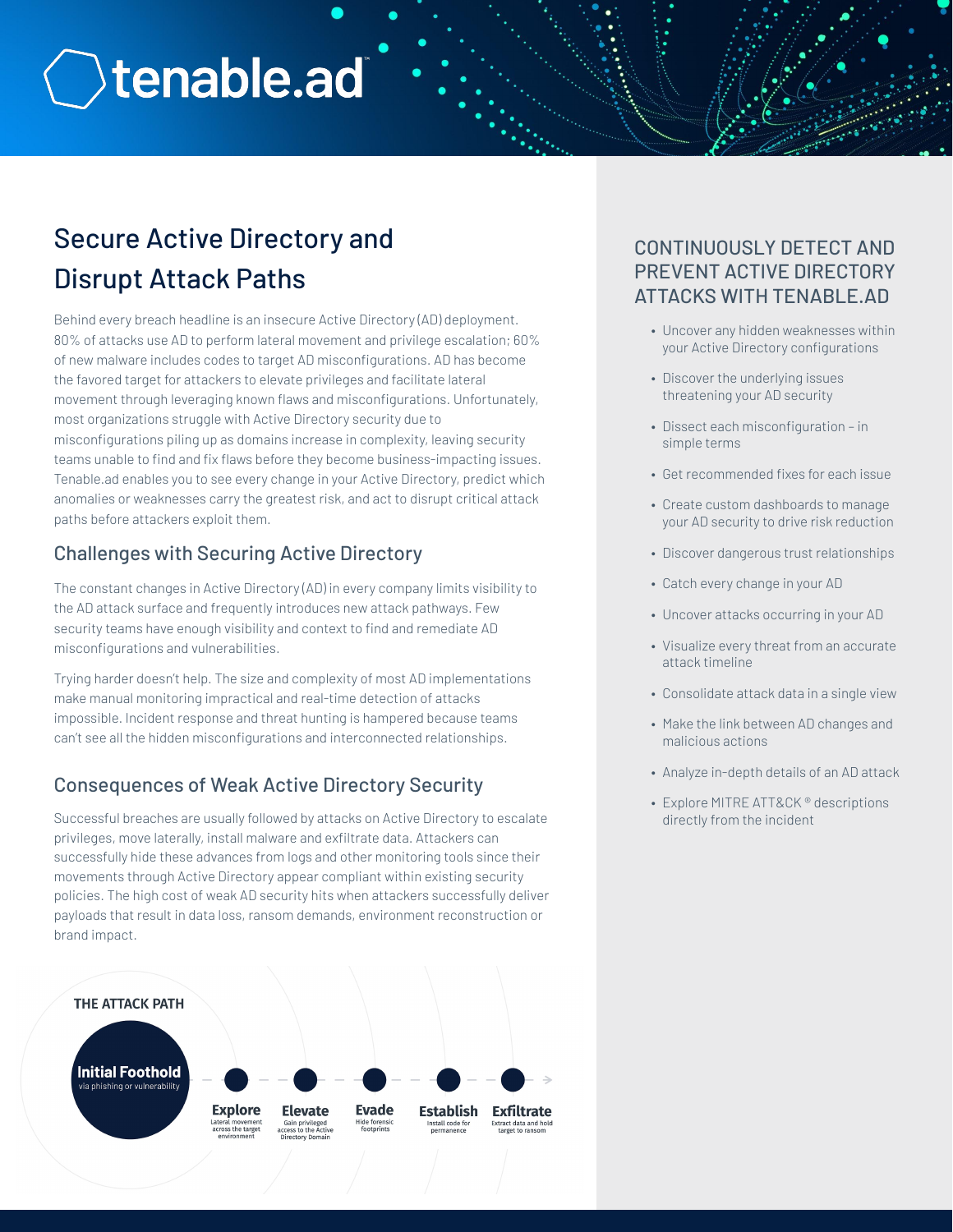# **Otenable.ad**

# Secure Active Directory and Disrupt Attack Paths

Behind every breach headline is an insecure Active Directory (AD) deployment. 80% of attacks use AD to perform lateral movement and privilege escalation; 60% of new malware includes codes to target AD misconfigurations. AD has become the favored target for attackers to elevate privileges and facilitate lateral movement through leveraging known flaws and misconfigurations. Unfortunately, most organizations struggle with Active Directory security due to misconfigurations piling up as domains increase in complexity, leaving security teams unable to find and fix flaws before they become business-impacting issues. Tenable.ad enables you to see every change in your Active Directory, predict which anomalies or weaknesses carry the greatest risk, and act to disrupt critical attack paths before attackers exploit them.

# Challenges with Securing Active Directory

The constant changes in Active Directory (AD) in every company limits visibility to the AD attack surface and frequently introduces new attack pathways. Few security teams have enough visibility and context to find and remediate AD misconfigurations and vulnerabilities.

Trying harder doesn't help. The size and complexity of most AD implementations make manual monitoring impractical and real-time detection of attacks impossible. Incident response and threat hunting is hampered because teams can't see all the hidden misconfigurations and interconnected relationships.

# Consequences of Weak Active Directory Security

Successful breaches are usually followed by attacks on Active Directory to escalate privileges, move laterally, install malware and exfiltrate data. Attackers can successfully hide these advances from logs and other monitoring tools since their movements through Active Directory appear compliant within existing security policies. The high cost of weak AD security hits when attackers successfully deliver payloads that result in data loss, ransom demands, environment reconstruction or brand impact.



# CONTINUOUSLY DETECT AND PREVENT ACTIVE DIRECTORY ATTACKS WITH TENABLE.AD

- Uncover any hidden weaknesses within your Active Directory configurations
- Discover the underlying issues threatening your AD security
- Dissect each misconfiguration in simple terms
- Get recommended fixes for each issue
- Create custom dashboards to manage your AD security to drive risk reduction
- Discover dangerous trust relationships
- Catch every change in your AD
- Uncover attacks occurring in your AD
- Visualize every threat from an accurate attack timeline
- Consolidate attack data in a single view
- Make the link between AD changes and malicious actions
- Analyze in-depth details of an AD attack
- Explore MITRE ATT&CK ® descriptions directly from the incident